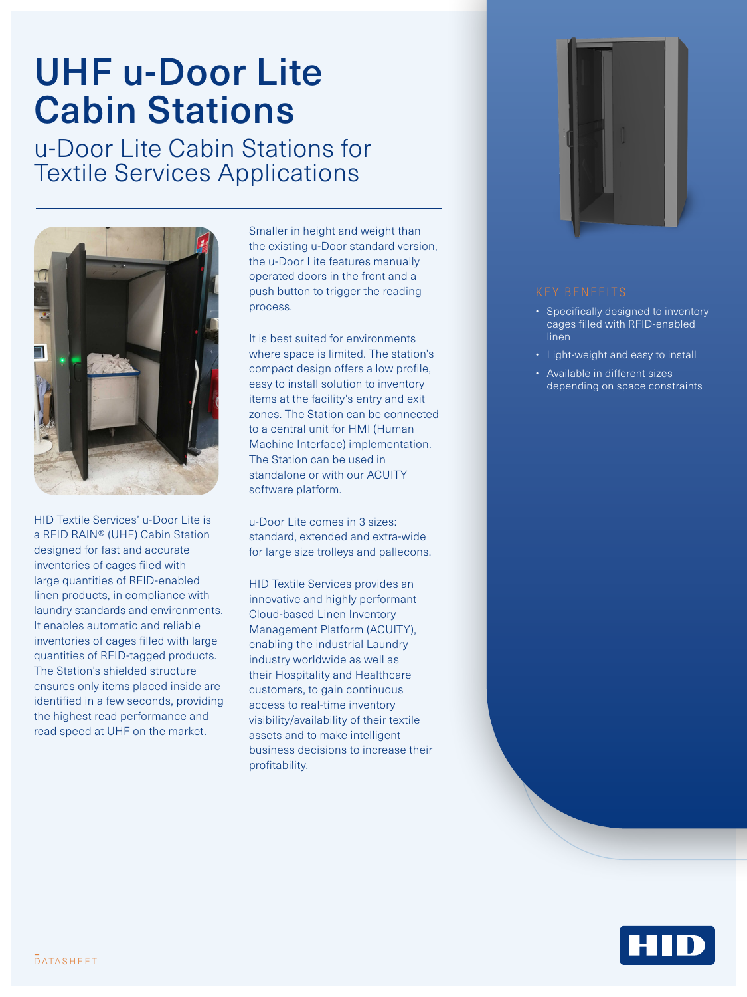# UHF u-Door Lite Cabin Stations

u-Door Lite Cabin Stations for Textile Services Applications



HID Textile Services' u-Door Lite is a RFID RAIN® (UHF) Cabin Station designed for fast and accurate inventories of cages filed with large quantities of RFID-enabled linen products, in compliance with laundry standards and environments. It enables automatic and reliable inventories of cages filled with large quantities of RFID-tagged products. The Station's shielded structure ensures only items placed inside are identified in a few seconds, providing the highest read performance and read speed at UHF on the market.

Smaller in height and weight than the existing u-Door standard version, the u-Door Lite features manually operated doors in the front and a push button to trigger the reading process.

It is best suited for environments where space is limited. The station's compact design offers a low profile, easy to install solution to inventory items at the facility's entry and exit zones. The Station can be connected to a central unit for HMI (Human Machine Interface) implementation. The Station can be used in standalone or with our ACUITY software platform.

u-Door Lite comes in 3 sizes: standard, extended and extra-wide for large size trolleys and pallecons.

HID Textile Services provides an innovative and highly performant Cloud-based Linen Inventory Management Platform (ACUITY), enabling the industrial Laundry industry worldwide as well as their Hospitality and Healthcare customers, to gain continuous access to real-time inventory visibility/availability of their textile assets and to make intelligent business decisions to increase their profitability.



- Specifically designed to inventory cages filled with RFID-enabled linen
- Light-weight and easy to install
- Available in different sizes depending on space constraints